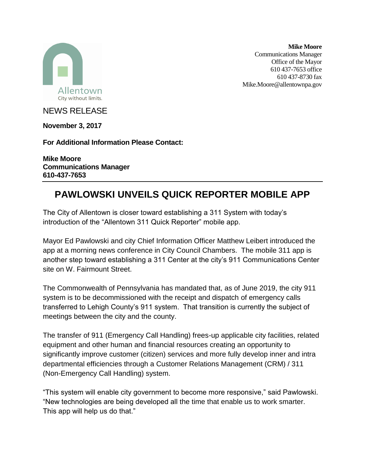

**Mike Moore** Communications Manager Office of the Mayor 610 437-7653 office 610 437-8730 fax Mike.Moore@allentownpa.gov

NEWS RELEASE

**November 3, 2017**

**For Additional Information Please Contact:**

**Mike Moore Communications Manager 610-437-7653**

## **PAWLOWSKI UNVEILS QUICK REPORTER MOBILE APP**

The City of Allentown is closer toward establishing a 311 System with today's introduction of the "Allentown 311 Quick Reporter" mobile app.

Mayor Ed Pawlowski and city Chief Information Officer Matthew Leibert introduced the app at a morning news conference in City Council Chambers. The mobile 311 app is another step toward establishing a 311 Center at the city's 911 Communications Center site on W. Fairmount Street.

The Commonwealth of Pennsylvania has mandated that, as of June 2019, the city 911 system is to be decommissioned with the receipt and dispatch of emergency calls transferred to Lehigh County's 911 system. That transition is currently the subject of meetings between the city and the county.

The transfer of 911 (Emergency Call Handling) frees-up applicable city facilities, related equipment and other human and financial resources creating an opportunity to significantly improve customer (citizen) services and more fully develop inner and intra departmental efficiencies through a Customer Relations Management (CRM) / 311 (Non-Emergency Call Handling) system.

"This system will enable city government to become more responsive," said Pawlowski. "New technologies are being developed all the time that enable us to work smarter. This app will help us do that."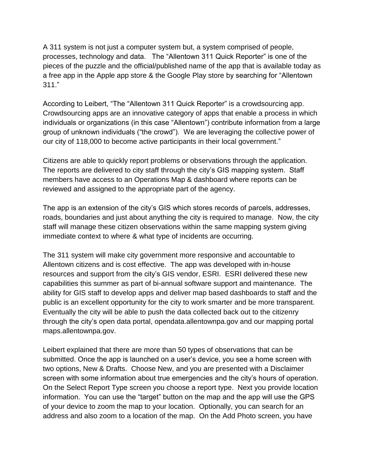A 311 system is not just a computer system but, a system comprised of people, processes, technology and data. The "Allentown 311 Quick Reporter" is one of the pieces of the puzzle and the official/published name of the app that is available today as a free app in the Apple app store & the Google Play store by searching for "Allentown 311."

According to Leibert, "The "Allentown 311 Quick Reporter" is a crowdsourcing app. Crowdsourcing apps are an innovative category of apps that enable a process in which individuals or organizations (in this case "Allentown") contribute information from a large group of unknown individuals ("the crowd"). We are leveraging the collective power of our city of 118,000 to become active participants in their local government."

Citizens are able to quickly report problems or observations through the application. The reports are delivered to city staff through the city's GIS mapping system. Staff members have access to an Operations Map & dashboard where reports can be reviewed and assigned to the appropriate part of the agency.

The app is an extension of the city's GIS which stores records of parcels, addresses, roads, boundaries and just about anything the city is required to manage. Now, the city staff will manage these citizen observations within the same mapping system giving immediate context to where & what type of incidents are occurring.

The 311 system will make city government more responsive and accountable to Allentown citizens and is cost effective. The app was developed with in-house resources and support from the city's GIS vendor, ESRI. ESRI delivered these new capabilities this summer as part of bi-annual software support and maintenance. The ability for GIS staff to develop apps and deliver map based dashboards to staff and the public is an excellent opportunity for the city to work smarter and be more transparent. Eventually the city will be able to push the data collected back out to the citizenry through the city's open data portal, opendata.allentownpa.gov and our mapping portal maps.allentownpa.gov.

Leibert explained that there are more than 50 types of observations that can be submitted. Once the app is launched on a user's device, you see a home screen with two options, New & Drafts. Choose New, and you are presented with a Disclaimer screen with some information about true emergencies and the city's hours of operation. On the Select Report Type screen you choose a report type. Next you provide location information. You can use the "target" button on the map and the app will use the GPS of your device to zoom the map to your location. Optionally, you can search for an address and also zoom to a location of the map. On the Add Photo screen, you have